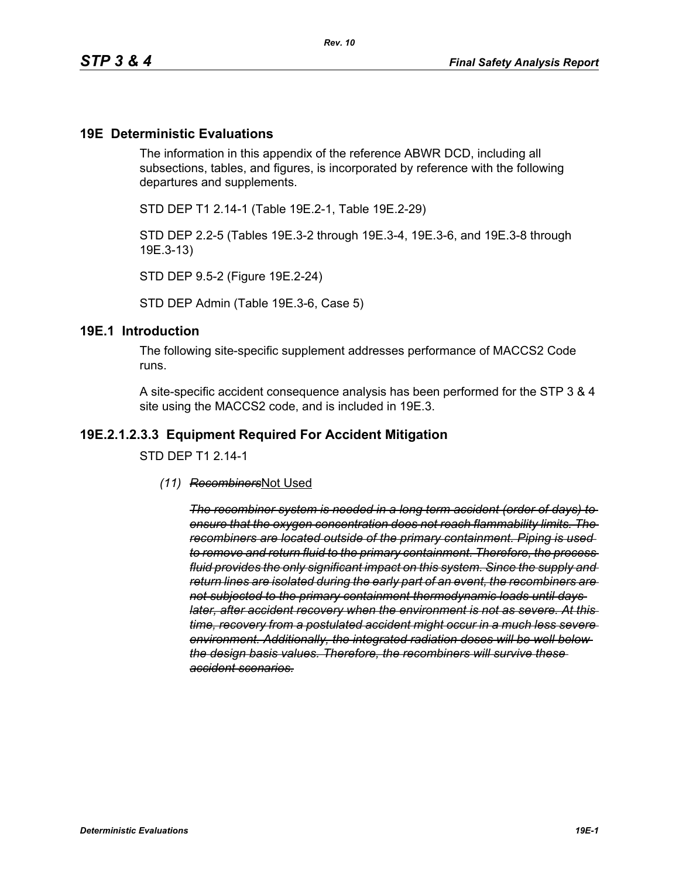#### **19E Deterministic Evaluations**

The information in this appendix of the reference ABWR DCD, including all subsections, tables, and figures, is incorporated by reference with the following departures and supplements.

STD DEP T1 2.14-1 (Table 19E.2-1, Table 19E.2-29)

STD DEP 2.2-5 (Tables 19E.3-2 through 19E.3-4, 19E.3-6, and 19E.3-8 through 19E.3-13)

STD DEP 9.5-2 (Figure 19E.2-24)

STD DEP Admin (Table 19E.3-6, Case 5)

#### **19E.1 Introduction**

The following site-specific supplement addresses performance of MACCS2 Code runs.

A site-specific accident consequence analysis has been performed for the STP 3 & 4 site using the MACCS2 code, and is included in 19E.3.

#### **19E.2.1.2.3.3 Equipment Required For Accident Mitigation**

STD DEP T1 2.14-1

*(11) Recombiners*Not Used

*The recombiner system is needed in a long term accident (order of days) to ensure that the oxygen concentration does not reach flammability limits. The recombiners are located outside of the primary containment. Piping is used to remove and return fluid to the primary containment. Therefore, the process fluid provides the only significant impact on this system. Since the supply and return lines are isolated during the early part of an event, the recombiners are not subjected to the primary containment thermodynamic loads until days later, after accident recovery when the environment is not as severe. At this time, recovery from a postulated accident might occur in a much less severe environment. Additionally, the integrated radiation doses will be well below the design basis values. Therefore, the recombiners will survive these accident scenarios.*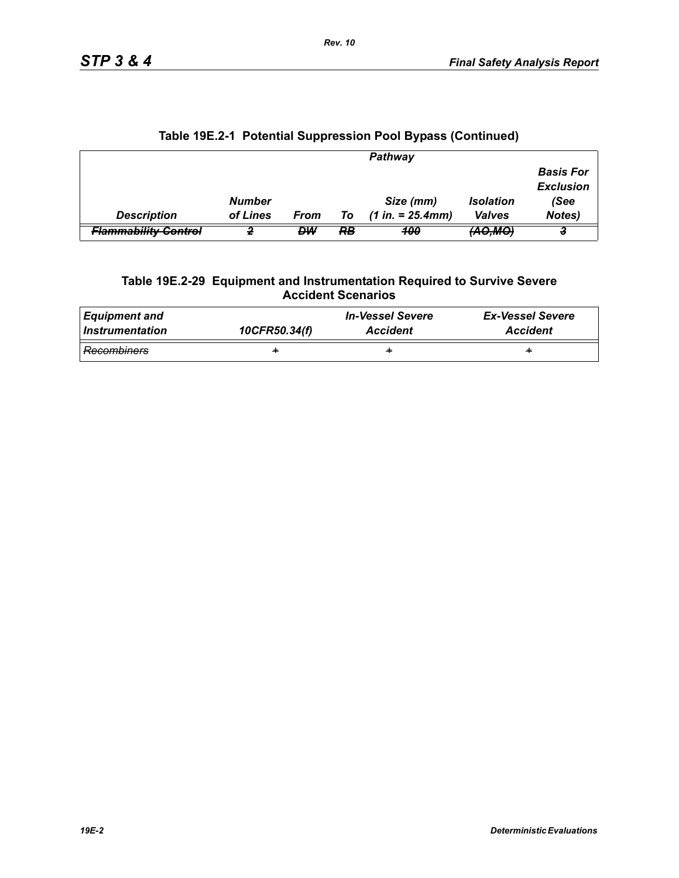|                                 |               |      |    | Pathway             |                   |                                      |
|---------------------------------|---------------|------|----|---------------------|-------------------|--------------------------------------|
|                                 |               |      |    |                     |                   | <b>Basis For</b><br><b>Exclusion</b> |
|                                 | <b>Number</b> |      |    | Size (mm)           | <b>Isolation</b>  | (See                                 |
| <b>Description</b>              | of Lines      | From | To | $(1 in. = 25.4 mm)$ | <b>Valves</b>     | Notes)                               |
| <del>Flammability Control</del> |               | DW   | RB | 400                 | <del>(AO,MO</del> |                                      |

# **Table 19E.2-1 Potential Suppression Pool Bypass (Continued)**

#### **Table 19E.2-29 Equipment and Instrumentation Required to Survive Severe Accident Scenarios**

| Equipment and   | 10CFR50.34(f) | <b>In-Vessel Severe</b> | <b>Ex-Vessel Severe</b> |
|-----------------|---------------|-------------------------|-------------------------|
| Instrumentation |               | <b>Accident</b>         | <b>Accident</b>         |
| Recombiners     | ÷             | ÷                       | ÷                       |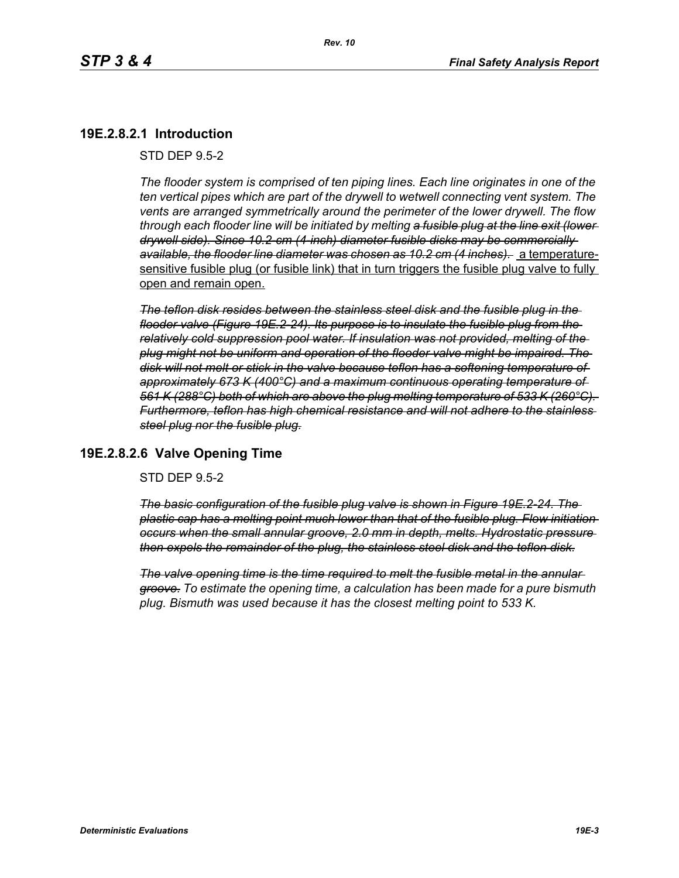## **19E.2.8.2.1 Introduction**

STD DEP 9.5-2

*The flooder system is comprised of ten piping lines. Each line originates in one of the ten vertical pipes which are part of the drywell to wetwell connecting vent system. The vents are arranged symmetrically around the perimeter of the lower drywell. The flow through each flooder line will be initiated by melting a fusible plug at the line exit (lower drywell side). Since 10.2-cm (4-inch) diameter fusible disks may be commercially available, the flooder line diameter was chosen as 10.2 cm (4 inches).* a temperaturesensitive fusible plug (or fusible link) that in turn triggers the fusible plug valve to fully open and remain open.

*The teflon disk resides between the stainless steel disk and the fusible plug in the flooder valve (Figure 19E.2-24). Its purpose is to insulate the fusible plug from the relatively cold suppression pool water. If insulation was not provided, melting of the plug might not be uniform and operation of the flooder valve might be impaired. The disk will not melt or stick in the valve because teflon has a softening temperature of approximately 673 K (400°C) and a maximum continuous operating temperature of 561 K (288°C) both of which are above the plug melting temperature of 533 K (260°C). Furthermore, teflon has high chemical resistance and will not adhere to the stainless steel plug nor the fusible plug.*

## **19E.2.8.2.6 Valve Opening Time**

STD DEP 9.5-2

*The basic configuration of the fusible plug valve is shown in Figure 19E.2-24. The plastic cap has a melting point much lower than that of the fusible plug. Flow initiation occurs when the small annular groove, 2.0 mm in depth, melts. Hydrostatic pressure then expels the remainder of the plug, the stainless steel disk and the teflon disk.*

*The valve opening time is the time required to melt the fusible metal in the annular groove. To estimate the opening time, a calculation has been made for a pure bismuth plug. Bismuth was used because it has the closest melting point to 533 K.*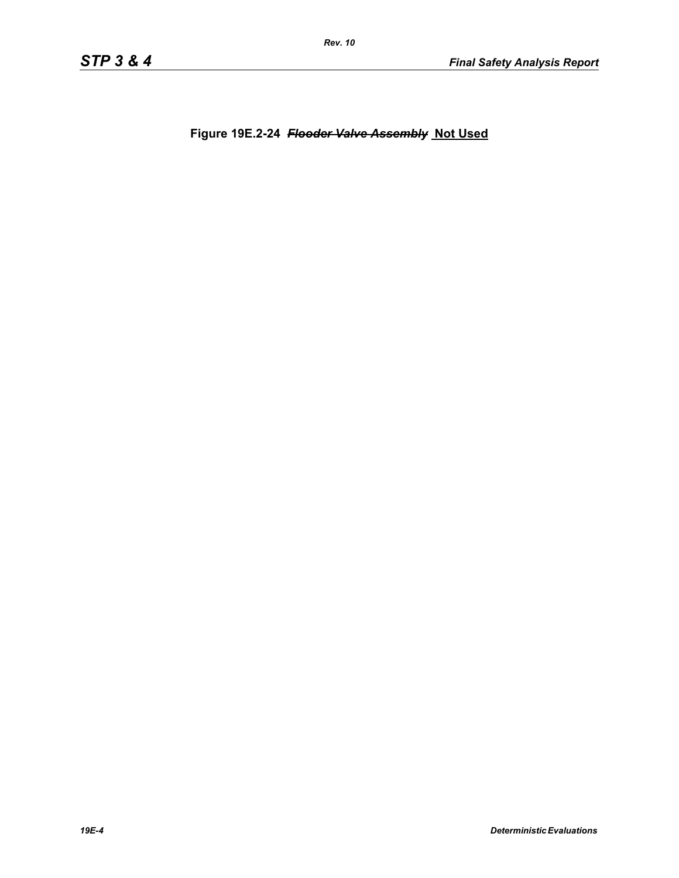**Figure 19E.2-24** *Flooder Valve Assembly* **Not Used**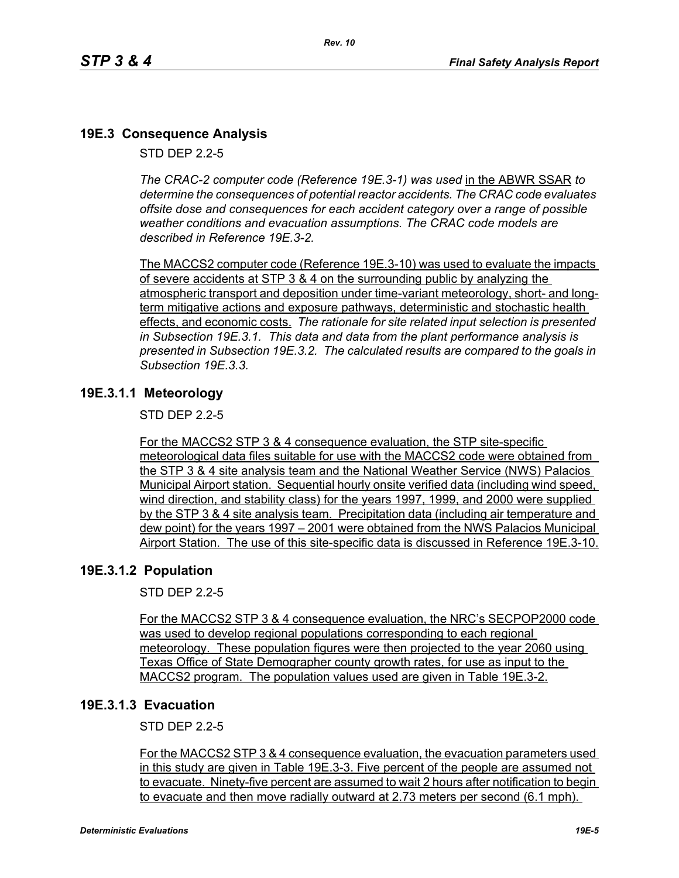# **19E.3 Consequence Analysis**

STD DEP 2.2-5

*The CRAC-2 computer code (Reference 19E.3-1) was used* in the ABWR SSAR *to determine the consequences of potential reactor accidents. The CRAC code evaluates offsite dose and consequences for each accident category over a range of possible weather conditions and evacuation assumptions. The CRAC code models are described in Reference 19E.3-2.* 

The MACCS2 computer code (Reference 19E.3-10) was used to evaluate the impacts of severe accidents at STP 3 & 4 on the surrounding public by analyzing the atmospheric transport and deposition under time-variant meteorology, short- and longterm mitigative actions and exposure pathways, deterministic and stochastic health effects, and economic costs. *The rationale for site related input selection is presented in Subsection 19E.3.1. This data and data from the plant performance analysis is presented in Subsection 19E.3.2. The calculated results are compared to the goals in Subsection 19E.3.3.*

# **19E.3.1.1 Meteorology**

STD DEP 2.2-5

For the MACCS2 STP 3 & 4 consequence evaluation, the STP site-specific meteorological data files suitable for use with the MACCS2 code were obtained from the STP 3 & 4 site analysis team and the National Weather Service (NWS) Palacios Municipal Airport station. Sequential hourly onsite verified data (including wind speed, wind direction, and stability class) for the years 1997, 1999, and 2000 were supplied by the STP 3 & 4 site analysis team. Precipitation data (including air temperature and dew point) for the years 1997 – 2001 were obtained from the NWS Palacios Municipal Airport Station. The use of this site-specific data is discussed in Reference 19E.3-10.

## **19E.3.1.2 Population**

STD DEP 2.2-5

For the MACCS2 STP 3 & 4 consequence evaluation, the NRC's SECPOP2000 code was used to develop regional populations corresponding to each regional meteorology. These population figures were then projected to the year 2060 using Texas Office of State Demographer county growth rates, for use as input to the MACCS2 program. The population values used are given in Table 19E.3-2.

## **19E.3.1.3 Evacuation**

STD DEP 2.2-5

For the MACCS2 STP 3 & 4 consequence evaluation, the evacuation parameters used in this study are given in Table 19E.3-3. Five percent of the people are assumed not to evacuate. Ninety-five percent are assumed to wait 2 hours after notification to begin to evacuate and then move radially outward at 2.73 meters per second (6.1 mph).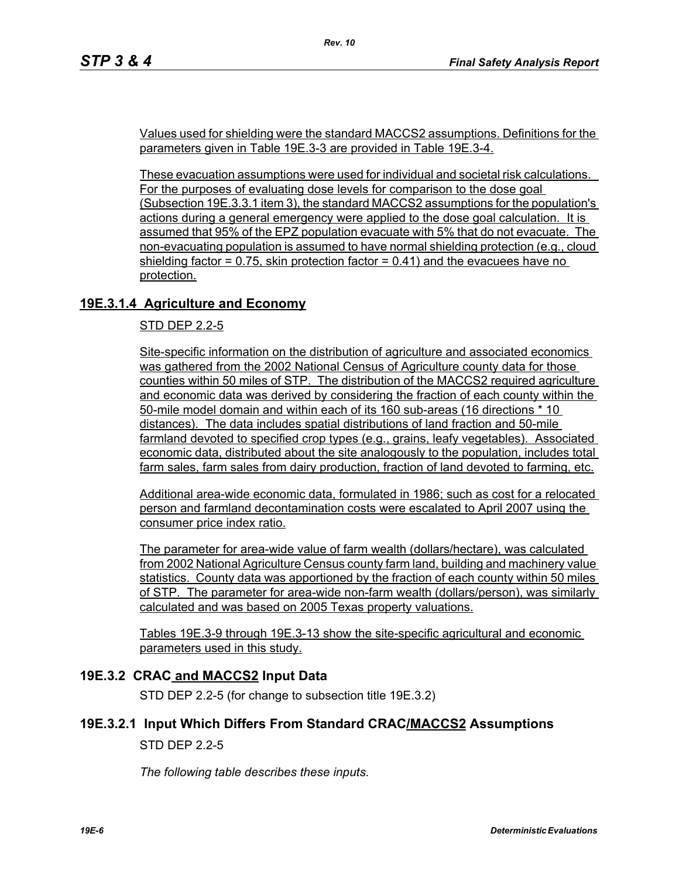Values used for shielding were the standard MACCS2 assumptions. Definitions for the parameters given in Table 19E.3-3 are provided in Table 19E.3-4.

*Rev. 10*

These evacuation assumptions were used for individual and societal risk calculations. For the purposes of evaluating dose levels for comparison to the dose goal (Subsection 19E.3.3.1 item 3), the standard MACCS2 assumptions for the population's actions during a general emergency were applied to the dose goal calculation. It is assumed that 95% of the EPZ population evacuate with 5% that do not evacuate. The non-evacuating population is assumed to have normal shielding protection (e.g., cloud shielding factor  $= 0.75$ , skin protection factor  $= 0.41$ ) and the evacuees have no protection.

# **19E.3.1.4 Agriculture and Economy**

#### STD DEP 2.2-5

Site-specific information on the distribution of agriculture and associated economics was gathered from the 2002 National Census of Agriculture county data for those counties within 50 miles of STP. The distribution of the MACCS2 required agriculture and economic data was derived by considering the fraction of each county within the 50-mile model domain and within each of its 160 sub-areas (16 directions \* 10 distances). The data includes spatial distributions of land fraction and 50-mile farmland devoted to specified crop types (e.g., grains, leafy vegetables). Associated economic data, distributed about the site analogously to the population, includes total farm sales, farm sales from dairy production, fraction of land devoted to farming, etc.

Additional area-wide economic data, formulated in 1986; such as cost for a relocated person and farmland decontamination costs were escalated to April 2007 using the consumer price index ratio.

The parameter for area-wide value of farm wealth (dollars/hectare), was calculated from 2002 National Agriculture Census county farm land, building and machinery value statistics. County data was apportioned by the fraction of each county within 50 miles of STP. The parameter for area-wide non-farm wealth (dollars/person), was similarly calculated and was based on 2005 Texas property valuations.

Tables 19E.3-9 through 19E.3-13 show the site-specific agricultural and economic parameters used in this study.

## **19E.3.2 CRAC and MACCS2 Input Data**

STD DEP 2.2-5 (for change to subsection title 19E.3.2)

#### **19E.3.2.1 Input Which Differs From Standard CRAC/MACCS2 Assumptions**

#### STD DEP 2.2-5

*The following table describes these inputs.*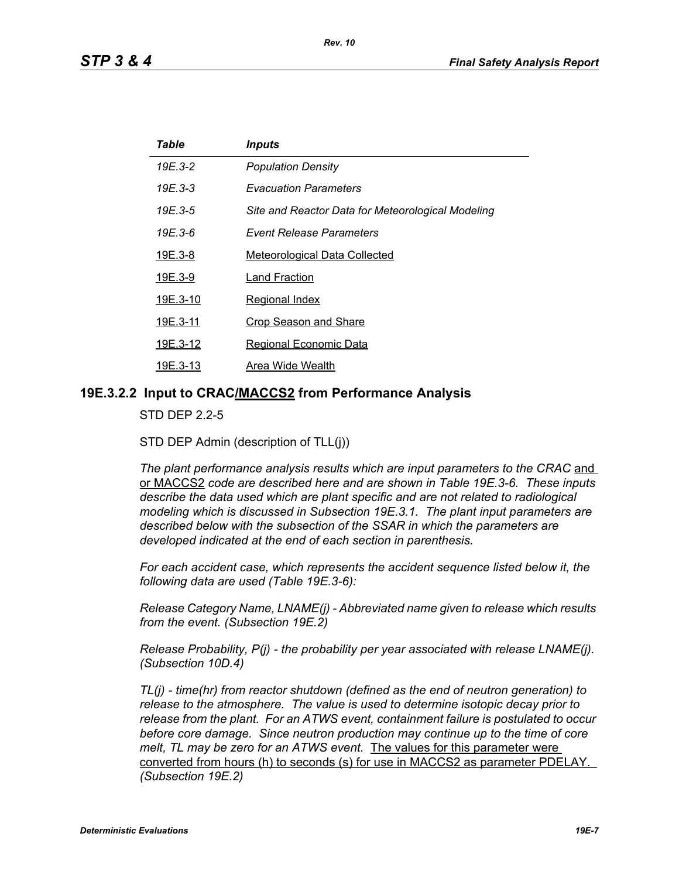| Table          | <i><b>Inputs</b></i>                              |
|----------------|---------------------------------------------------|
| 19E.3-2        | <b>Population Density</b>                         |
| $19E.3 - 3$    | <b>Evacuation Parameters</b>                      |
| 19E.3-5        | Site and Reactor Data for Meteorological Modeling |
| 19E.3-6        | Event Release Parameters                          |
| <u>19E.3-8</u> | <b>Meteorological Data Collected</b>              |
| 19E.3-9        | Land Fraction                                     |
| 19E.3-10       | Regional Index                                    |
| 19E.3-11       | <b>Crop Season and Share</b>                      |
| 19E.3-12       | Regional Economic Data                            |
| 19E.3-13       | Area Wide Wealth                                  |

#### **19E.3.2.2 Input to CRAC/MACCS2 from Performance Analysis**

STD DEP 2.2-5

STD DEP Admin (description of TLL(j))

The plant performance analysis results which are input parameters to the CRAC and or MACCS2 *code are described here and are shown in Table 19E.3-6. These inputs describe the data used which are plant specific and are not related to radiological modeling which is discussed in Subsection 19E.3.1. The plant input parameters are described below with the subsection of the SSAR in which the parameters are developed indicated at the end of each section in parenthesis.*

*For each accident case, which represents the accident sequence listed below it, the following data are used (Table 19E.3-6):*

*Release Category Name, LNAME(j) - Abbreviated name given to release which results from the event. (Subsection 19E.2)*

*Release Probability, P(j) - the probability per year associated with release LNAME(j). (Subsection 10D.4)*

*TL(j) - time(hr) from reactor shutdown (defined as the end of neutron generation) to release to the atmosphere. The value is used to determine isotopic decay prior to release from the plant. For an ATWS event, containment failure is postulated to occur before core damage. Since neutron production may continue up to the time of core melt, TL may be zero for an ATWS event.* The values for this parameter were converted from hours (h) to seconds (s) for use in MACCS2 as parameter PDELAY. *(Subsection 19E.2)*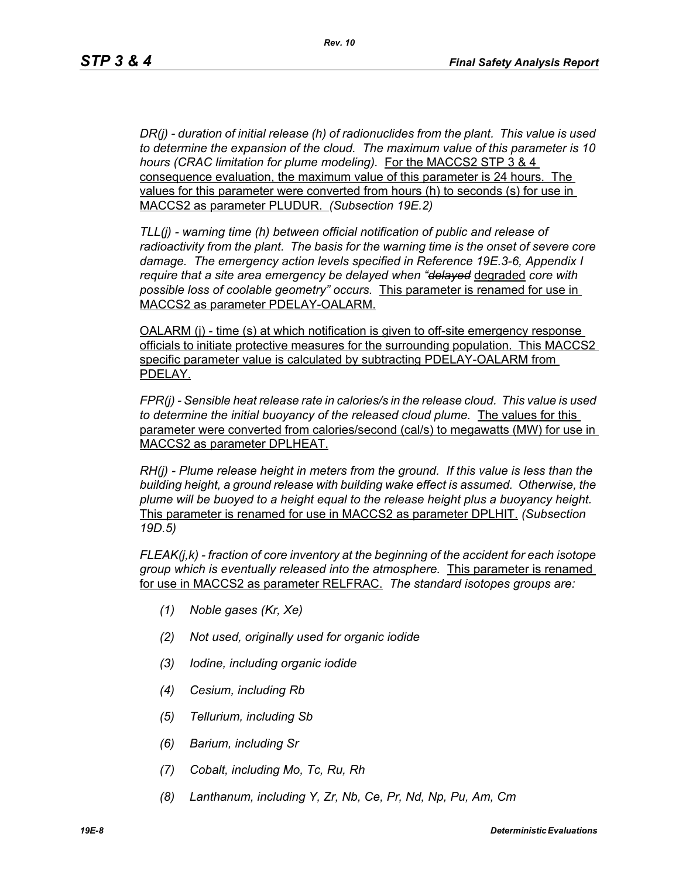*DR(j) - duration of initial release (h) of radionuclides from the plant. This value is used to determine the expansion of the cloud. The maximum value of this parameter is 10 hours (CRAC limitation for plume modeling).* For the MACCS2 STP 3 & 4 consequence evaluation, the maximum value of this parameter is 24 hours. The values for this parameter were converted from hours (h) to seconds (s) for use in MACCS2 as parameter PLUDUR. *(Subsection 19E.2)*

*TLL(j) - warning time (h) between official notification of public and release of radioactivity from the plant. The basis for the warning time is the onset of severe core damage. The emergency action levels specified in Reference 19E.3-6, Appendix I require that a site area emergency be delayed when "delayed* degraded *core with possible loss of coolable geometry" occurs.* This parameter is renamed for use in MACCS2 as parameter PDELAY-OALARM.

OALARM (j) - time (s) at which notification is given to off-site emergency response officials to initiate protective measures for the surrounding population. This MACCS2 specific parameter value is calculated by subtracting PDELAY-OALARM from PDELAY.

*FPR(j) - Sensible heat release rate in calories/s in the release cloud. This value is used to determine the initial buoyancy of the released cloud plume.* The values for this parameter were converted from calories/second (cal/s) to megawatts (MW) for use in MACCS2 as parameter DPLHEAT.

*RH(j) - Plume release height in meters from the ground. If this value is less than the building height, a ground release with building wake effect is assumed. Otherwise, the plume will be buoyed to a height equal to the release height plus a buoyancy height.*  This parameter is renamed for use in MACCS2 as parameter DPLHIT. *(Subsection 19D.5)*

*FLEAK(j,k) - fraction of core inventory at the beginning of the accident for each isotope group which is eventually released into the atmosphere.* This parameter is renamed for use in MACCS2 as parameter RELFRAC. *The standard isotopes groups are:*

- *(1) Noble gases (Kr, Xe)*
- *(2) Not used, originally used for organic iodide*
- *(3) Iodine, including organic iodide*
- *(4) Cesium, including Rb*
- *(5) Tellurium, including Sb*
- *(6) Barium, including Sr*
- *(7) Cobalt, including Mo, Tc, Ru, Rh*
- *(8) Lanthanum, including Y, Zr, Nb, Ce, Pr, Nd, Np, Pu, Am, Cm*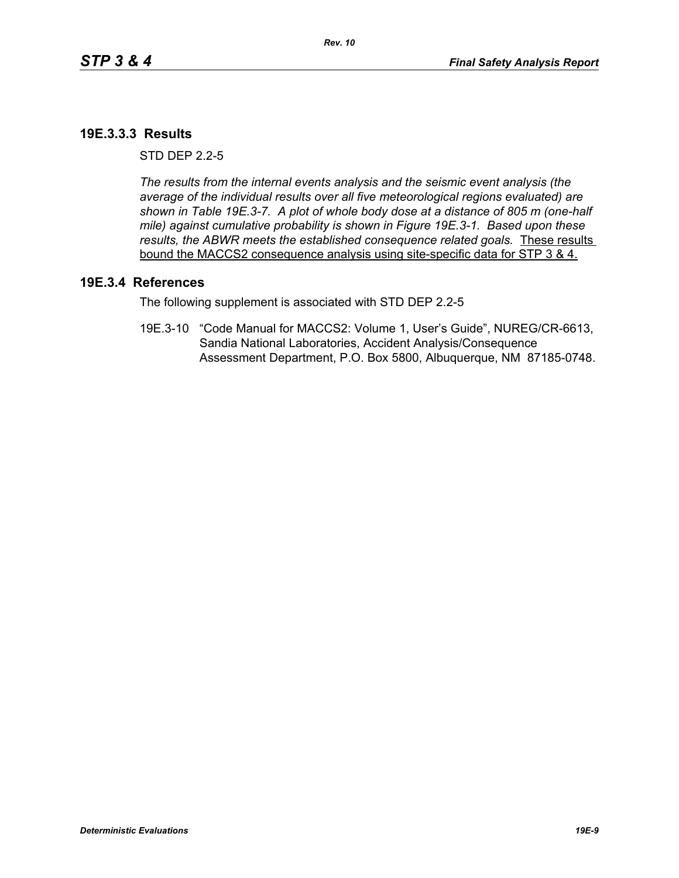## **19E.3.3.3 Results**

 $STD$  DFP  $2.2-5$ 

*The results from the internal events analysis and the seismic event analysis (the average of the individual results over all five meteorological regions evaluated) are shown in Table 19E.3-7. A plot of whole body dose at a distance of 805 m (one-half mile) against cumulative probability is shown in Figure 19E.3-1. Based upon these results, the ABWR meets the established consequence related goals.* These results bound the MACCS2 consequence analysis using site-specific data for STP 3 & 4.

#### **19E.3.4 References**

The following supplement is associated with STD DEP 2.2-5

19E.3-10 "Code Manual for MACCS2: Volume 1, User's Guide", NUREG/CR-6613, Sandia National Laboratories, Accident Analysis/Consequence Assessment Department, P.O. Box 5800, Albuquerque, NM 87185-0748.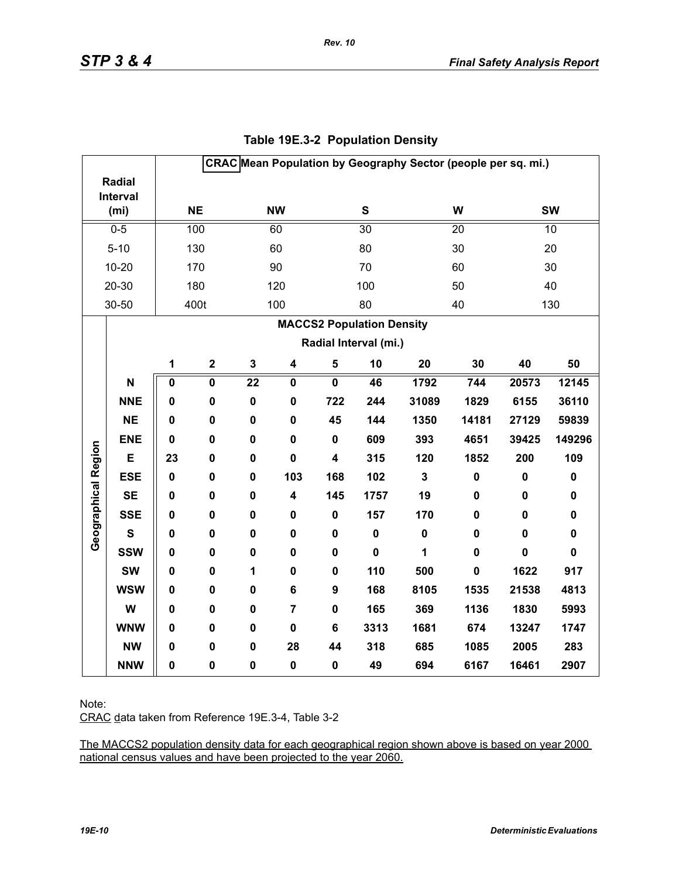|                     |                               |              |             |             |                         |                         |                                  |              | CRAC Mean Population by Geography Sector (people per sq. mi.) |             |             |
|---------------------|-------------------------------|--------------|-------------|-------------|-------------------------|-------------------------|----------------------------------|--------------|---------------------------------------------------------------|-------------|-------------|
|                     | Radial                        |              |             |             |                         |                         |                                  |              |                                                               |             |             |
|                     | Interval<br>(m <sub>i</sub> ) |              | <b>NE</b>   |             | <b>NW</b>               |                         | S                                |              | W                                                             |             | <b>SW</b>   |
|                     |                               |              |             |             |                         |                         |                                  |              |                                                               |             |             |
|                     | $0-5$                         |              | 100         |             | 60                      |                         | $\overline{30}$                  |              | 20                                                            |             | 10          |
|                     | $5 - 10$                      |              | 130         |             | 60                      |                         | 80                               |              | 30                                                            |             | 20          |
|                     | $10 - 20$                     |              | 170         |             | 90                      |                         | 70                               |              | 60                                                            |             | 30          |
|                     | 20-30                         |              | 180         |             | 120                     |                         | 100                              |              | 50                                                            |             | 40          |
|                     | 30-50                         |              | 400t        |             | 100                     |                         | 80                               |              | 40                                                            |             | 130         |
|                     |                               |              |             |             |                         |                         | <b>MACCS2 Population Density</b> |              |                                                               |             |             |
|                     |                               |              |             |             |                         |                         | Radial Interval (mi.)            |              |                                                               |             |             |
|                     |                               | $\mathbf{1}$ | $\mathbf 2$ | $\mathbf 3$ | $\overline{\mathbf{4}}$ | $\overline{\mathbf{5}}$ | 10                               | 20           | 30                                                            | 40          | 50          |
|                     | N                             | $\pmb{0}$    | $\pmb{0}$   | 22          | $\mathbf 0$             | $\mathbf 0$             | 46                               | 1792         | 744                                                           | 20573       | 12145       |
|                     | <b>NNE</b>                    | 0            | 0           | $\mathbf 0$ | $\mathbf 0$             | 722                     | 244                              | 31089        | 1829                                                          | 6155        | 36110       |
|                     | <b>NE</b>                     | $\mathbf 0$  | 0           | $\mathbf 0$ | $\mathbf 0$             | 45                      | 144                              | 1350         | 14181                                                         | 27129       | 59839       |
|                     | <b>ENE</b>                    | $\mathbf 0$  | $\mathbf 0$ | $\mathbf 0$ | $\mathbf 0$             | $\mathbf 0$             | 609                              | 393          | 4651                                                          | 39425       | 149296      |
| Geographical Region | E                             | 23           | 0           | $\mathbf 0$ | $\mathbf 0$             | 4                       | 315                              | 120          | 1852                                                          | 200         | 109         |
|                     | <b>ESE</b>                    | $\mathbf 0$  | 0           | $\mathbf 0$ | 103                     | 168                     | 102                              | $\mathbf{3}$ | $\pmb{0}$                                                     | $\pmb{0}$   | $\pmb{0}$   |
|                     | <b>SE</b>                     | $\mathbf 0$  | 0           | $\mathbf 0$ | 4                       | 145                     | 1757                             | 19           | $\mathbf 0$                                                   | $\pmb{0}$   | $\pmb{0}$   |
|                     | <b>SSE</b>                    | 0            | $\mathbf 0$ | $\mathbf 0$ | $\mathbf 0$             | $\mathbf 0$             | 157                              | 170          | $\mathbf 0$                                                   | $\mathbf 0$ | $\mathbf 0$ |
|                     | $\mathbf{s}$                  | 0            | 0           | $\mathbf 0$ | 0                       | 0                       | $\pmb{0}$                        | $\pmb{0}$    | $\mathbf 0$                                                   | $\pmb{0}$   | $\pmb{0}$   |
|                     | <b>SSW</b>                    | 0            | 0           | $\pmb{0}$   | 0                       | $\mathbf 0$             | $\mathbf 0$                      | 1            | 0                                                             | $\pmb{0}$   | $\mathbf 0$ |
|                     | <b>SW</b>                     | 0            | $\mathbf 0$ | 1           | $\mathbf 0$             | $\mathbf 0$             | 110                              | 500          | $\mathbf 0$                                                   | 1622        | 917         |
|                     | <b>WSW</b>                    | 0            | 0           | $\mathbf 0$ | $6\phantom{1}$          | 9                       | 168                              | 8105         | 1535                                                          | 21538       | 4813        |
|                     | W                             | 0            | 0           | $\pmb{0}$   | $\overline{7}$          | $\pmb{0}$               | 165                              | 369          | 1136                                                          | 1830        | 5993        |
|                     | <b>WNW</b>                    | 0            | $\mathbf 0$ | $\pmb{0}$   | $\mathbf 0$             | 6                       | 3313                             | 1681         | 674                                                           | 13247       | 1747        |
|                     | <b>NW</b>                     | 0            | 0           | $\mathbf 0$ | 28                      | 44                      | 318                              | 685          | 1085                                                          | 2005        | 283         |
|                     | <b>NNW</b>                    | $\mathbf 0$  | 0           | $\pmb{0}$   | $\pmb{0}$               | $\pmb{0}$               | 49                               | 694          | 6167                                                          | 16461       | 2907        |

# **Table 19E.3-2 Population Density**

*Rev. 10*

Note:

CRAC data taken from Reference 19E.3-4, Table 3-2

The MACCS2 population density data for each geographical region shown above is based on year 2000 national census values and have been projected to the year 2060.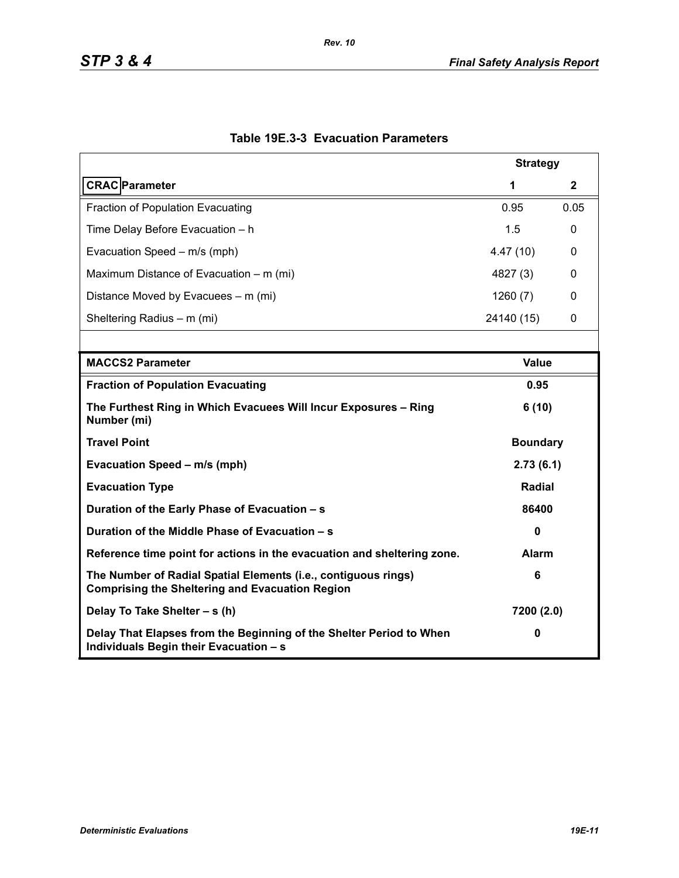|                                                                                                                          | <b>Strategy</b> |              |  |
|--------------------------------------------------------------------------------------------------------------------------|-----------------|--------------|--|
| <b>CRAC</b> Parameter                                                                                                    | 1               | $\mathbf{2}$ |  |
| <b>Fraction of Population Evacuating</b>                                                                                 | 0.95            | 0.05         |  |
| Time Delay Before Evacuation - h                                                                                         | 1.5             | 0            |  |
| Evacuation Speed - m/s (mph)                                                                                             | 4.47(10)        | 0            |  |
| Maximum Distance of Evacuation – m (mi)                                                                                  | 4827 (3)        | 0            |  |
| Distance Moved by Evacuees – m (mi)                                                                                      | 1260(7)         | 0            |  |
| Sheltering Radius - m (mi)                                                                                               | 24140 (15)      | 0            |  |
|                                                                                                                          |                 |              |  |
| <b>MACCS2 Parameter</b>                                                                                                  | Value           |              |  |
| <b>Fraction of Population Evacuating</b>                                                                                 | 0.95            |              |  |
| The Furthest Ring in Which Evacuees Will Incur Exposures - Ring<br>Number (mi)                                           | 6(10)           |              |  |
| <b>Travel Point</b>                                                                                                      | <b>Boundary</b> |              |  |
| Evacuation Speed - m/s (mph)                                                                                             | 2.73(6.1)       |              |  |
| <b>Evacuation Type</b>                                                                                                   | Radial          |              |  |
| Duration of the Early Phase of Evacuation - s                                                                            | 86400           |              |  |
| Duration of the Middle Phase of Evacuation - s                                                                           | $\mathbf{0}$    |              |  |
| Reference time point for actions in the evacuation and sheltering zone.                                                  | <b>Alarm</b>    |              |  |
| The Number of Radial Spatial Elements (i.e., contiguous rings)<br><b>Comprising the Sheltering and Evacuation Region</b> | 6               |              |  |
| Delay To Take Shelter - s (h)                                                                                            | 7200 (2.0)      |              |  |
| Delay That Elapses from the Beginning of the Shelter Period to When<br>Individuals Begin their Evacuation - s            | 0               |              |  |

# **Table 19E.3-3 Evacuation Parameters**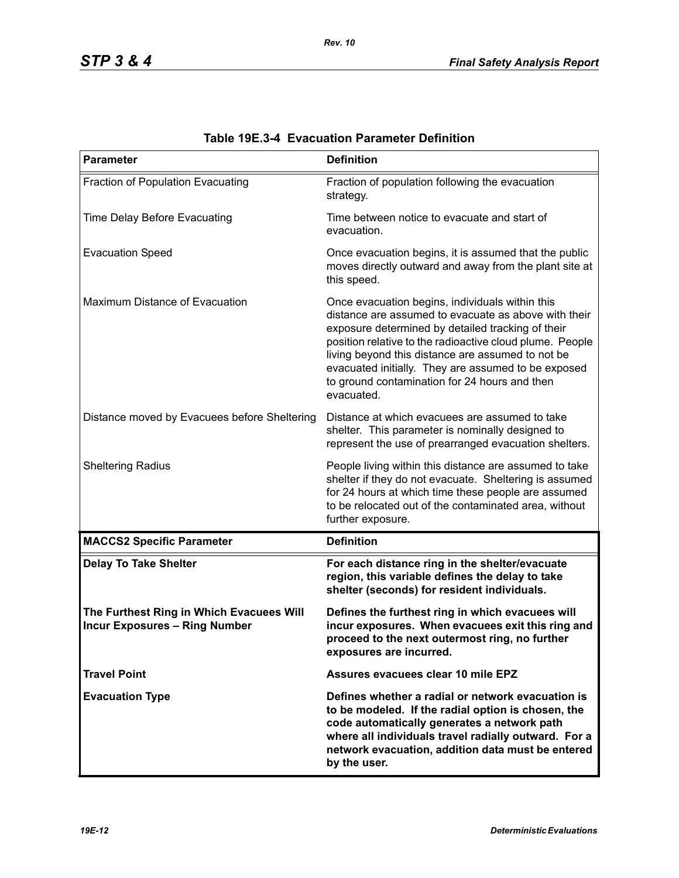| <b>Parameter</b>                                                                 | <b>Definition</b>                                                                                                                                                                                                                                                                                                                                                                                   |
|----------------------------------------------------------------------------------|-----------------------------------------------------------------------------------------------------------------------------------------------------------------------------------------------------------------------------------------------------------------------------------------------------------------------------------------------------------------------------------------------------|
| Fraction of Population Evacuating                                                | Fraction of population following the evacuation<br>strategy.                                                                                                                                                                                                                                                                                                                                        |
| Time Delay Before Evacuating                                                     | Time between notice to evacuate and start of<br>evacuation.                                                                                                                                                                                                                                                                                                                                         |
| <b>Evacuation Speed</b>                                                          | Once evacuation begins, it is assumed that the public<br>moves directly outward and away from the plant site at<br>this speed.                                                                                                                                                                                                                                                                      |
| Maximum Distance of Evacuation                                                   | Once evacuation begins, individuals within this<br>distance are assumed to evacuate as above with their<br>exposure determined by detailed tracking of their<br>position relative to the radioactive cloud plume. People<br>living beyond this distance are assumed to not be<br>evacuated initially. They are assumed to be exposed<br>to ground contamination for 24 hours and then<br>evacuated. |
| Distance moved by Evacuees before Sheltering                                     | Distance at which evacuees are assumed to take<br>shelter. This parameter is nominally designed to<br>represent the use of prearranged evacuation shelters.                                                                                                                                                                                                                                         |
| <b>Sheltering Radius</b>                                                         | People living within this distance are assumed to take<br>shelter if they do not evacuate. Sheltering is assumed<br>for 24 hours at which time these people are assumed<br>to be relocated out of the contaminated area, without<br>further exposure.                                                                                                                                               |
| <b>MACCS2 Specific Parameter</b>                                                 | <b>Definition</b>                                                                                                                                                                                                                                                                                                                                                                                   |
| <b>Delay To Take Shelter</b>                                                     | For each distance ring in the shelter/evacuate<br>region, this variable defines the delay to take<br>shelter (seconds) for resident individuals.                                                                                                                                                                                                                                                    |
| The Furthest Ring in Which Evacuees Will<br><b>Incur Exposures - Ring Number</b> | Defines the furthest ring in which evacuees will<br>incur exposures. When evacuees exit this ring and<br>proceed to the next outermost ring, no further<br>exposures are incurred.                                                                                                                                                                                                                  |
| <b>Travel Point</b>                                                              | Assures evacuees clear 10 mile EPZ                                                                                                                                                                                                                                                                                                                                                                  |
| <b>Evacuation Type</b>                                                           | Defines whether a radial or network evacuation is<br>to be modeled. If the radial option is chosen, the<br>code automatically generates a network path<br>where all individuals travel radially outward. For a<br>network evacuation, addition data must be entered<br>by the user.                                                                                                                 |

| Table 19E.3-4 Evacuation Parameter Definition |  |  |  |
|-----------------------------------------------|--|--|--|
|-----------------------------------------------|--|--|--|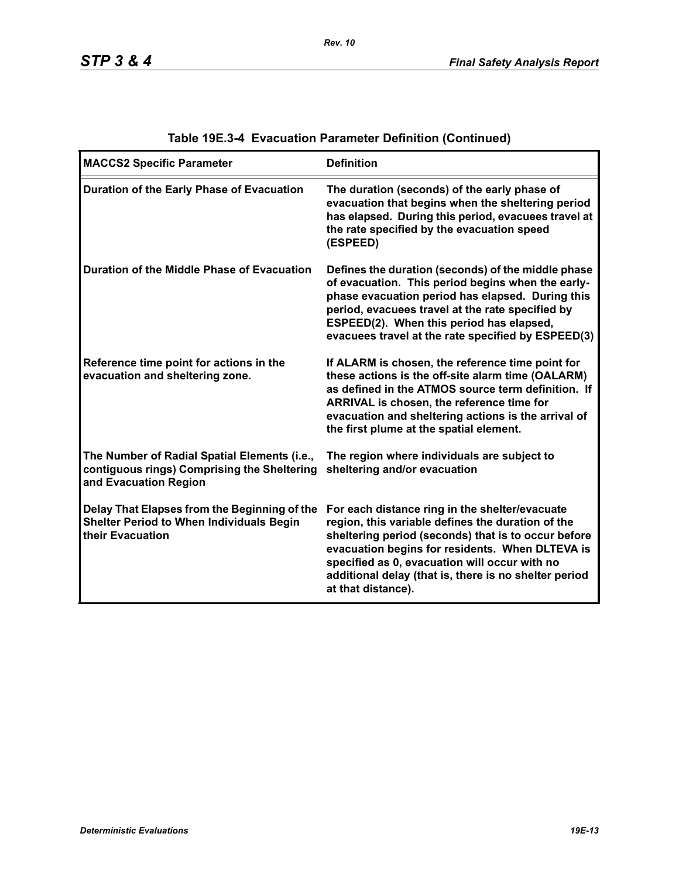| <b>MACCS2 Specific Parameter</b>                                                                                     | <b>Definition</b>                                                                                                                                                                                                                                                                                                                             |
|----------------------------------------------------------------------------------------------------------------------|-----------------------------------------------------------------------------------------------------------------------------------------------------------------------------------------------------------------------------------------------------------------------------------------------------------------------------------------------|
| Duration of the Early Phase of Evacuation                                                                            | The duration (seconds) of the early phase of<br>evacuation that begins when the sheltering period<br>has elapsed. During this period, evacuees travel at<br>the rate specified by the evacuation speed<br>(ESPEED)                                                                                                                            |
| Duration of the Middle Phase of Evacuation                                                                           | Defines the duration (seconds) of the middle phase<br>of evacuation. This period begins when the early-<br>phase evacuation period has elapsed. During this<br>period, evacuees travel at the rate specified by<br>ESPEED(2). When this period has elapsed,<br>evacuees travel at the rate specified by ESPEED(3)                             |
| Reference time point for actions in the<br>evacuation and sheltering zone.                                           | If ALARM is chosen, the reference time point for<br>these actions is the off-site alarm time (OALARM)<br>as defined in the ATMOS source term definition. If<br>ARRIVAL is chosen, the reference time for<br>evacuation and sheltering actions is the arrival of<br>the first plume at the spatial element.                                    |
| The Number of Radial Spatial Elements (i.e.,<br>contiguous rings) Comprising the Sheltering<br>and Evacuation Region | The region where individuals are subject to<br>sheltering and/or evacuation                                                                                                                                                                                                                                                                   |
| Delay That Elapses from the Beginning of the<br><b>Shelter Period to When Individuals Begin</b><br>their Evacuation  | For each distance ring in the shelter/evacuate<br>region, this variable defines the duration of the<br>sheltering period (seconds) that is to occur before<br>evacuation begins for residents. When DLTEVA is<br>specified as 0, evacuation will occur with no<br>additional delay (that is, there is no shelter period<br>at that distance). |

# **Table 19E.3-4 Evacuation Parameter Definition (Continued)**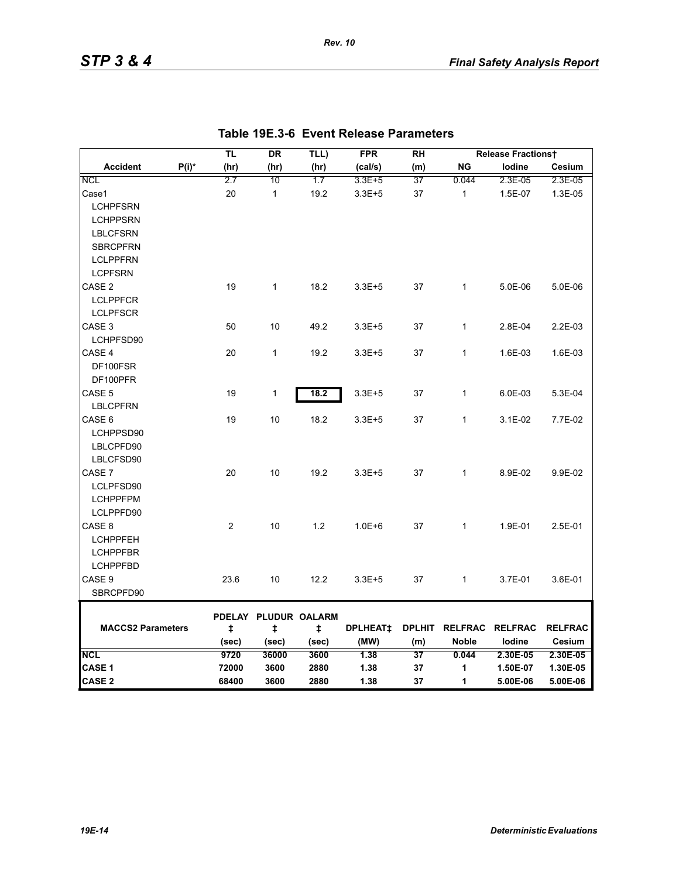|                          |          | TL         | <b>DR</b>                 | TLL)  | <b>FPR</b>      | <b>RH</b>     |              | <b>Release Fractionst</b> |                |
|--------------------------|----------|------------|---------------------------|-------|-----------------|---------------|--------------|---------------------------|----------------|
| <b>Accident</b>          | $P(i)^*$ | (hr)       | (hr)                      | (hr)  | (cal/s)         | (m)           | <b>NG</b>    | lodine                    | Cesium         |
| <b>NCL</b>               |          | 2.7        | 10                        | 1.7   | 3.3E+5          | 37            | 0.044        | 2.3E-05                   | 2.3E-05        |
| Case1                    |          | 20         | $\mathbf{1}$              | 19.2  | $3.3E + 5$      | 37            | $\mathbf{1}$ | 1.5E-07                   | 1.3E-05        |
| <b>LCHPFSRN</b>          |          |            |                           |       |                 |               |              |                           |                |
| <b>LCHPPSRN</b>          |          |            |                           |       |                 |               |              |                           |                |
| <b>LBLCFSRN</b>          |          |            |                           |       |                 |               |              |                           |                |
| <b>SBRCPFRN</b>          |          |            |                           |       |                 |               |              |                           |                |
| <b>LCLPPFRN</b>          |          |            |                           |       |                 |               |              |                           |                |
| <b>LCPFSRN</b>           |          |            |                           |       |                 |               |              |                           |                |
| CASE <sub>2</sub>        |          | 19         | $\mathbf{1}$              | 18.2  | $3.3E + 5$      | 37            | 1            | 5.0E-06                   | 5.0E-06        |
| <b>LCLPPFCR</b>          |          |            |                           |       |                 |               |              |                           |                |
| <b>LCLPFSCR</b>          |          |            |                           |       |                 |               |              |                           |                |
| CASE <sub>3</sub>        |          | 50         | 10                        | 49.2  | $3.3E + 5$      | 37            | $\mathbf{1}$ | 2.8E-04                   | 2.2E-03        |
| LCHPFSD90                |          |            |                           |       |                 |               |              |                           |                |
| CASE 4                   |          | 20         | $\mathbf{1}$              | 19.2  | $3.3E + 5$      | 37            | $\mathbf{1}$ | 1.6E-03                   | 1.6E-03        |
| DF100FSR                 |          |            |                           |       |                 |               |              |                           |                |
| DF100PFR                 |          |            |                           |       |                 |               |              |                           |                |
| CASE 5                   |          | 19         | 1                         | 18.2  | $3.3E + 5$      | 37            | $\mathbf{1}$ | 6.0E-03                   | 5.3E-04        |
| <b>LBLCPFRN</b>          |          |            |                           |       |                 |               |              |                           |                |
| CASE 6                   |          | 19         | 10                        | 18.2  | $3.3E + 5$      | 37            | 1            | 3.1E-02                   | 7.7E-02        |
| LCHPPSD90                |          |            |                           |       |                 |               |              |                           |                |
| LBLCPFD90                |          |            |                           |       |                 |               |              |                           |                |
| LBLCFSD90                |          |            |                           |       |                 |               |              |                           |                |
| CASE 7                   |          | 20         | 10                        | 19.2  | $3.3E + 5$      | 37            | $\mathbf{1}$ | 8.9E-02                   | 9.9E-02        |
| LCLPFSD90                |          |            |                           |       |                 |               |              |                           |                |
| <b>LCHPPFPM</b>          |          |            |                           |       |                 |               |              |                           |                |
| LCLPPFD90                |          |            |                           |       |                 |               |              |                           |                |
| CASE 8                   |          | 2          | 10                        | 1.2   | $1.0E + 6$      | 37            | $\mathbf{1}$ | 1.9E-01                   | 2.5E-01        |
| <b>LCHPPFEH</b>          |          |            |                           |       |                 |               |              |                           |                |
| <b>LCHPPFBR</b>          |          |            |                           |       |                 |               |              |                           |                |
| <b>LCHPPFBD</b>          |          |            |                           |       |                 |               |              |                           |                |
| CASE 9                   |          | 23.6       | 10                        | 12.2  | $3.3E + 5$      | 37            | $\mathbf{1}$ | 3.7E-01                   | 3.6E-01        |
| SBRCPFD90                |          |            |                           |       |                 |               |              |                           |                |
|                          |          |            |                           |       |                 |               |              |                           |                |
| <b>MACCS2 Parameters</b> |          | $\ddagger$ | PDELAY PLUDUR OALARM<br>ŧ | ŧ     | <b>DPLHEAT‡</b> | <b>DPLHIT</b> |              | RELFRAC RELFRAC           | <b>RELFRAC</b> |
|                          |          | (sec)      | (sec)                     | (sec) | (MW)            | (m)           | <b>Noble</b> | lodine                    | Cesium         |
| <b>NCL</b>               |          | 9720       | 36000                     | 3600  | 1.38            | 37            | 0.044        | 2.30E-05                  | 2.30E-05       |
| CASE 1                   |          | 72000      | 3600                      | 2880  | 1.38            | 37            | 1            | 1.50E-07                  | 1.30E-05       |
| <b>CASE 2</b>            |          | 68400      | 3600                      | 2880  | 1.38            | 37            | 1            | 5.00E-06                  | 5.00E-06       |

*Rev. 10*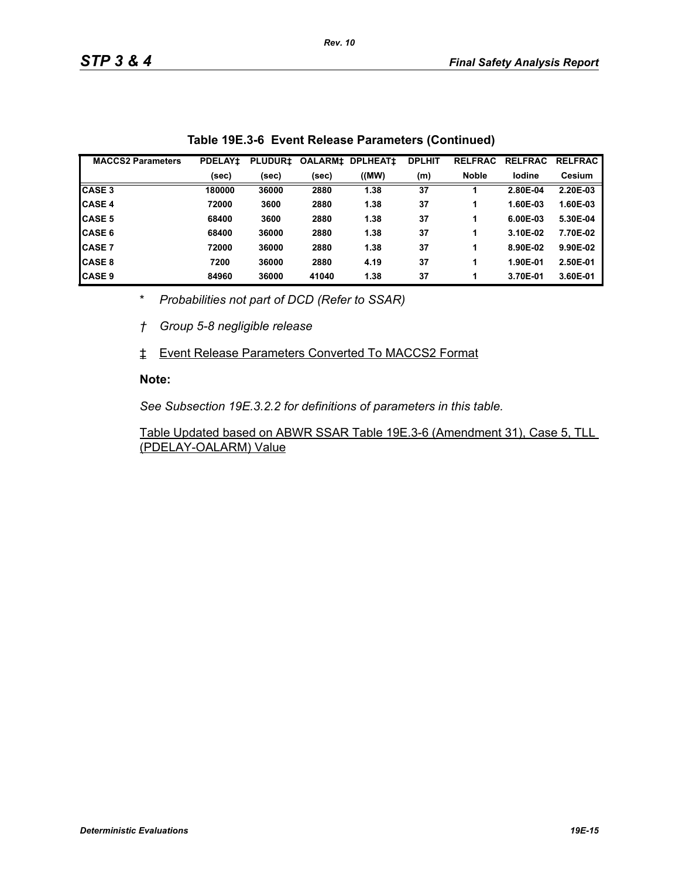| <b>MACCS2 Parameters</b> | <b>PDELAY1</b> | <b>PLUDUR±</b> | <b>OALARMI</b> | <b>DPLHEAT1</b> | <b>DPLHIT</b> | <b>RELFRAC</b> | <b>RELFRAC</b> | <b>RELFRAC</b> |
|--------------------------|----------------|----------------|----------------|-----------------|---------------|----------------|----------------|----------------|
|                          | (sec)          | (sec)          | (sec)          | (MW)            | (m)           | <b>Noble</b>   | lodine         | <b>Cesium</b>  |
| <b>CASE 3</b>            | 180000         | 36000          | 2880           | 1.38            | 37            |                | 2.80E-04       | 2.20E-03       |
| <b>CASE 4</b>            | 72000          | 3600           | 2880           | 1.38            | 37            |                | 1.60E-03       | 1.60E-03       |
| <b>CASE 5</b>            | 68400          | 3600           | 2880           | 1.38            | 37            |                | 6.00E-03       | 5.30E-04       |
| <b>ICASE 6</b>           | 68400          | 36000          | 2880           | 1.38            | 37            |                | 3.10E-02       | 7.70E-02       |
| <b>CASE 7</b>            | 72000          | 36000          | 2880           | 1.38            | 37            |                | 8.90E-02       | 9.90E-02       |
| <b>CASE 8</b>            | 7200           | 36000          | 2880           | 4.19            | 37            |                | 1.90E-01       | 2.50E-01       |
| <b>CASE 9</b>            | 84960          | 36000          | 41040          | 1.38            | 37            |                | 3.70E-01       | 3.60E-01       |

|  | Table 19E.3-6 Event Release Parameters (Continued) |  |  |
|--|----------------------------------------------------|--|--|
|--|----------------------------------------------------|--|--|

\* *Probabilities not part of DCD (Refer to SSAR)*

*† Group 5-8 negligible release*

‡ Event Release Parameters Converted To MACCS2 Format

#### **Note:**

*See Subsection 19E.3.2.2 for definitions of parameters in this table.*

Table Updated based on ABWR SSAR Table 19E.3-6 (Amendment 31), Case 5, TLL (PDELAY-OALARM) Value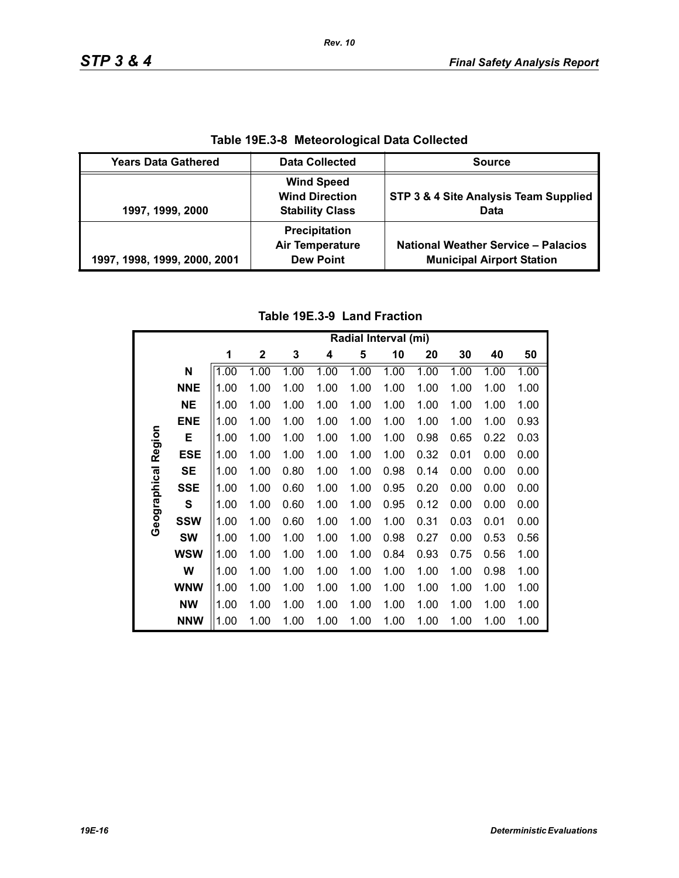| Table 19E.3-8 Meteorological Data Collected |                                                                      |                                                                                |  |  |  |  |
|---------------------------------------------|----------------------------------------------------------------------|--------------------------------------------------------------------------------|--|--|--|--|
| <b>Years Data Gathered</b>                  | <b>Data Collected</b>                                                | <b>Source</b>                                                                  |  |  |  |  |
| 1997, 1999, 2000                            | <b>Wind Speed</b><br><b>Wind Direction</b><br><b>Stability Class</b> | STP 3 & 4 Site Analysis Team Supplied<br>Data                                  |  |  |  |  |
| 1997, 1998, 1999, 2000, 2001                | <b>Precipitation</b><br><b>Air Temperature</b><br><b>Dew Point</b>   | <b>National Weather Service - Palacios</b><br><b>Municipal Airport Station</b> |  |  |  |  |

**Table 19E.3-8 Meteorological Data Collected**

*Rev. 10*

# **Table 19E.3-9 Land Fraction**

|              |              | Radial Interval (mi) |              |      |      |      |      |      |      |      |      |
|--------------|--------------|----------------------|--------------|------|------|------|------|------|------|------|------|
|              |              | 1                    | $\mathbf{2}$ | 3    | 4    | 5    | 10   | 20   | 30   | 40   | 50   |
|              | N            | 1.00                 | 1.00         | 1.00 | 1.00 | 1.00 | 1.00 | 1.00 | 1.00 | 1.00 | 1.00 |
|              | <b>NNE</b>   | 1.00                 | 1.00         | 1.00 | 1.00 | 1.00 | 1.00 | 1.00 | 1.00 | 1.00 | 1.00 |
|              | <b>NE</b>    | 1.00                 | 1.00         | 1.00 | 1.00 | 1.00 | 1.00 | 1.00 | 1.00 | 1.00 | 1.00 |
|              | <b>ENE</b>   | 1.00                 | 1.00         | 1.00 | 1.00 | 1.00 | 1.00 | 1.00 | 1.00 | 1.00 | 0.93 |
|              | Е            | 1.00                 | 1.00         | 1.00 | 1.00 | 1.00 | 1.00 | 0.98 | 0.65 | 0.22 | 0.03 |
| Region       | <b>ESE</b>   | 1.00                 | 1.00         | 1.00 | 1.00 | 1.00 | 1.00 | 0.32 | 0.01 | 0.00 | 0.00 |
|              | <b>SE</b>    | 1.00                 | 1.00         | 0.80 | 1.00 | 1.00 | 0.98 | 0.14 | 0.00 | 0.00 | 0.00 |
| Geographical | <b>SSE</b>   | 1.00                 | 1.00         | 0.60 | 1.00 | 1.00 | 0.95 | 0.20 | 0.00 | 0.00 | 0.00 |
|              | $\mathbf{s}$ | 1.00                 | 1.00         | 0.60 | 1.00 | 1.00 | 0.95 | 0.12 | 0.00 | 0.00 | 0.00 |
|              | <b>SSW</b>   | 1.00                 | 1.00         | 0.60 | 1.00 | 1.00 | 1.00 | 0.31 | 0.03 | 0.01 | 0.00 |
|              | <b>SW</b>    | 1.00                 | 1.00         | 1.00 | 1.00 | 1.00 | 0.98 | 0.27 | 0.00 | 0.53 | 0.56 |
|              | <b>WSW</b>   | 1.00                 | 1.00         | 1.00 | 1.00 | 1.00 | 0.84 | 0.93 | 0.75 | 0.56 | 1.00 |
|              | W            | 1.00                 | 1.00         | 1.00 | 1.00 | 1.00 | 1.00 | 1.00 | 1.00 | 0.98 | 1.00 |
|              | <b>WNW</b>   | 1.00                 | 1.00         | 1.00 | 1.00 | 1.00 | 1.00 | 1.00 | 1.00 | 1.00 | 1.00 |
|              | <b>NW</b>    | 1.00                 | 1.00         | 1.00 | 1.00 | 1.00 | 1.00 | 1.00 | 1.00 | 1.00 | 1.00 |
|              | <b>NNW</b>   | 1.00                 | 1.00         | 1.00 | 1.00 | 1.00 | 1.00 | 1.00 | 1.00 | 1.00 | 1.00 |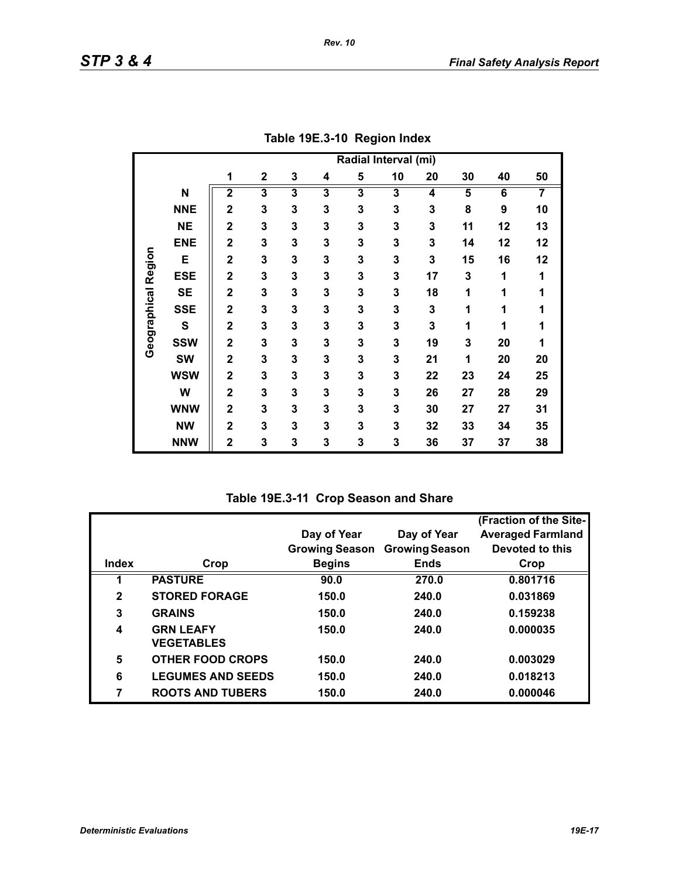|                     |             | Radial Interval (mi)    |                         |                         |                         |                         |    |    |                         |    |    |
|---------------------|-------------|-------------------------|-------------------------|-------------------------|-------------------------|-------------------------|----|----|-------------------------|----|----|
|                     |             | 1                       | $\mathbf 2$             | 3                       | 4                       | 5                       | 10 | 20 | 30                      | 40 | 50 |
|                     | N           | $\overline{\mathbf{2}}$ | $\overline{\mathbf{3}}$ | $\overline{\mathbf{3}}$ | $\overline{\mathbf{3}}$ | $\overline{\mathbf{3}}$ | 3  | 4  | $\overline{\mathbf{5}}$ | 6  | 7  |
|                     | <b>NNE</b>  | $\overline{2}$          | 3                       | 3                       | 3                       | 3                       | 3  | 3  | 8                       | 9  | 10 |
|                     | <b>NE</b>   | $\overline{2}$          | 3                       | 3                       | 3                       | 3                       | 3  | 3  | 11                      | 12 | 13 |
|                     | <b>ENE</b>  | $\overline{2}$          | 3                       | 3                       | 3                       | 3                       | 3  | 3  | 14                      | 12 | 12 |
|                     | E           | $\overline{2}$          | 3                       | 3                       | 3                       | 3                       | 3  | 3  | 15                      | 16 | 12 |
| Geographical Region | <b>ESE</b>  | $\mathbf 2$             | 3                       | 3                       | 3                       | 3                       | 3  | 17 | 3                       | 1  | 1  |
|                     | <b>SE</b>   | $\mathbf 2$             | 3                       | 3                       | 3                       | 3                       | 3  | 18 | 1                       | 1  | 1  |
|                     | <b>SSE</b>  | $\overline{2}$          | 3                       | 3                       | 3                       | 3                       | 3  | 3  | 1                       | 1  | 1  |
|                     | $\mathbf s$ | $\mathbf 2$             | 3                       | 3                       | 3                       | 3                       | 3  | 3  | 1                       | 1  | 1  |
|                     | <b>SSW</b>  | $\overline{2}$          | 3                       | 3                       | 3                       | 3                       | 3  | 19 | 3                       | 20 | 1  |
|                     | <b>SW</b>   | $\overline{2}$          | 3                       | 3                       | 3                       | 3                       | 3  | 21 | 1                       | 20 | 20 |
|                     | <b>WSW</b>  | $\overline{\mathbf{2}}$ | 3                       | 3                       | 3                       | 3                       | 3  | 22 | 23                      | 24 | 25 |
|                     | W           | $\overline{\mathbf{2}}$ | 3                       | 3                       | 3                       | 3                       | 3  | 26 | 27                      | 28 | 29 |
|                     | <b>WNW</b>  | $\mathbf 2$             | 3                       | 3                       | 3                       | 3                       | 3  | 30 | 27                      | 27 | 31 |
|                     | <b>NW</b>   | $\overline{\mathbf{2}}$ | 3                       | 3                       | 3                       | 3                       | 3  | 32 | 33                      | 34 | 35 |
|                     | <b>NNW</b>  | $\mathbf 2$             | 3                       | 3                       | 3                       | 3                       | 3  | 36 | 37                      | 37 | 38 |

**Table 19E.3-10 Region Index**

**Table 19E.3-11 Crop Season and Share**

|              |                                       |                       |                       | (Fraction of the Site-   |
|--------------|---------------------------------------|-----------------------|-----------------------|--------------------------|
|              |                                       | Day of Year           | Day of Year           | <b>Averaged Farmland</b> |
|              |                                       | <b>Growing Season</b> | <b>Growing Season</b> | Devoted to this          |
| Index        | Crop                                  | <b>Begins</b>         | <b>Ends</b>           | Crop                     |
|              | <b>PASTURE</b>                        | 90.0                  | 270.0                 | 0.801716                 |
| $\mathbf{2}$ | <b>STORED FORAGE</b>                  | 150.0                 | 240.0                 | 0.031869                 |
| 3            | <b>GRAINS</b>                         | 150.0                 | 240.0                 | 0.159238                 |
| 4            | <b>GRN LEAFY</b><br><b>VEGETABLES</b> | 150.0                 | 240.0                 | 0.000035                 |
|              |                                       |                       |                       |                          |
| 5            | <b>OTHER FOOD CROPS</b>               | 150.0                 | 240.0                 | 0.003029                 |
| 6            | <b>LEGUMES AND SEEDS</b>              | 150.0                 | 240.0                 | 0.018213                 |
| 7            | <b>ROOTS AND TUBERS</b>               | 150.0                 | 240.0                 | 0.000046                 |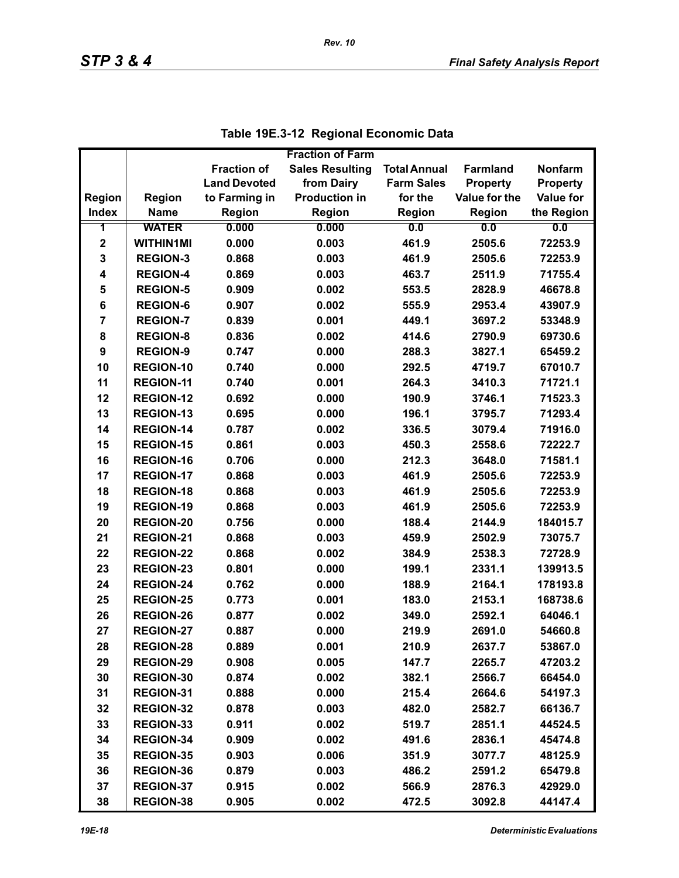|                |                  |                     | <b>Fraction of Farm</b> |                     |                 |                  |
|----------------|------------------|---------------------|-------------------------|---------------------|-----------------|------------------|
|                |                  | <b>Fraction of</b>  | <b>Sales Resulting</b>  | <b>Total Annual</b> | <b>Farmland</b> | <b>Nonfarm</b>   |
|                |                  | <b>Land Devoted</b> | from Dairy              | <b>Farm Sales</b>   | <b>Property</b> | <b>Property</b>  |
| Region         | <b>Region</b>    | to Farming in       | <b>Production in</b>    | for the             | Value for the   | <b>Value for</b> |
| <b>Index</b>   | <b>Name</b>      | <b>Region</b>       | Region                  | <b>Region</b>       | Region          | the Region       |
| 1              | <b>WATER</b>     | 0.000               | 0.000                   | 0.0                 | 0.0             | 0.0              |
| $\mathbf 2$    | <b>WITHIN1MI</b> | 0.000               | 0.003                   | 461.9               | 2505.6          | 72253.9          |
| 3              | <b>REGION-3</b>  | 0.868               | 0.003                   | 461.9               | 2505.6          | 72253.9          |
| 4              | <b>REGION-4</b>  | 0.869               | 0.003                   | 463.7               | 2511.9          | 71755.4          |
| 5              | <b>REGION-5</b>  | 0.909               | 0.002                   | 553.5               | 2828.9          | 46678.8          |
| 6              | <b>REGION-6</b>  | 0.907               | 0.002                   | 555.9               | 2953.4          | 43907.9          |
| $\overline{7}$ | <b>REGION-7</b>  | 0.839               | 0.001                   | 449.1               | 3697.2          | 53348.9          |
| 8              | <b>REGION-8</b>  | 0.836               | 0.002                   | 414.6               | 2790.9          | 69730.6          |
| 9              | <b>REGION-9</b>  | 0.747               | 0.000                   | 288.3               | 3827.1          | 65459.2          |
| 10             | <b>REGION-10</b> | 0.740               | 0.000                   | 292.5               | 4719.7          | 67010.7          |
| 11             | <b>REGION-11</b> | 0.740               | 0.001                   | 264.3               | 3410.3          | 71721.1          |
| 12             | <b>REGION-12</b> | 0.692               | 0.000                   | 190.9               | 3746.1          | 71523.3          |
| 13             | <b>REGION-13</b> | 0.695               | 0.000                   | 196.1               | 3795.7          | 71293.4          |
| 14             | <b>REGION-14</b> | 0.787               | 0.002                   | 336.5               | 3079.4          | 71916.0          |
| 15             | <b>REGION-15</b> | 0.861               | 0.003                   | 450.3               | 2558.6          | 72222.7          |
| 16             | <b>REGION-16</b> | 0.706               | 0.000                   | 212.3               | 3648.0          | 71581.1          |
| 17             | <b>REGION-17</b> | 0.868               | 0.003                   | 461.9               | 2505.6          | 72253.9          |
| 18             | <b>REGION-18</b> | 0.868               | 0.003                   | 461.9               | 2505.6          | 72253.9          |
| 19             | <b>REGION-19</b> | 0.868               | 0.003                   | 461.9               | 2505.6          | 72253.9          |
| 20             | <b>REGION-20</b> | 0.756               | 0.000                   | 188.4               | 2144.9          | 184015.7         |
| 21             | REGION-21        | 0.868               | 0.003                   | 459.9               | 2502.9          | 73075.7          |
| 22             | <b>REGION-22</b> | 0.868               | 0.002                   | 384.9               | 2538.3          | 72728.9          |
| 23             | <b>REGION-23</b> | 0.801               | 0.000                   | 199.1               | 2331.1          | 139913.5         |
| 24             | <b>REGION-24</b> | 0.762               | 0.000                   | 188.9               | 2164.1          | 178193.8         |
| 25             | <b>REGION-25</b> | 0.773               | 0.001                   | 183.0               | 2153.1          | 168738.6         |
| 26             | <b>REGION-26</b> | 0.877               | 0.002                   | 349.0               | 2592.1          | 64046.1          |
| 27             | <b>REGION-27</b> | 0.887               | 0.000                   | 219.9               | 2691.0          | 54660.8          |
| 28             | <b>REGION-28</b> | 0.889               | 0.001                   | 210.9               | 2637.7          | 53867.0          |
| 29             | <b>REGION-29</b> | 0.908               | 0.005                   | 147.7               | 2265.7          | 47203.2          |
| 30             | REGION-30        | 0.874               | 0.002                   | 382.1               | 2566.7          | 66454.0          |
| 31             | REGION-31        | 0.888               | 0.000                   | 215.4               | 2664.6          | 54197.3          |
| 32             | <b>REGION-32</b> | 0.878               | 0.003                   | 482.0               | 2582.7          | 66136.7          |
| 33             | REGION-33        | 0.911               | 0.002                   | 519.7               | 2851.1          | 44524.5          |
| 34             | REGION-34        | 0.909               | 0.002                   | 491.6               | 2836.1          | 45474.8          |
| 35             | <b>REGION-35</b> | 0.903               | 0.006                   | 351.9               | 3077.7          | 48125.9          |
| 36             | REGION-36        | 0.879               | 0.003                   | 486.2               | 2591.2          | 65479.8          |
| 37             | <b>REGION-37</b> | 0.915               | 0.002                   | 566.9               | 2876.3          | 42929.0          |
| 38             | <b>REGION-38</b> | 0.905               | 0.002                   | 472.5               | 3092.8          | 44147.4          |

|  | Table 19E.3-12 Regional Economic Data |
|--|---------------------------------------|
|--|---------------------------------------|

*Rev. 10*